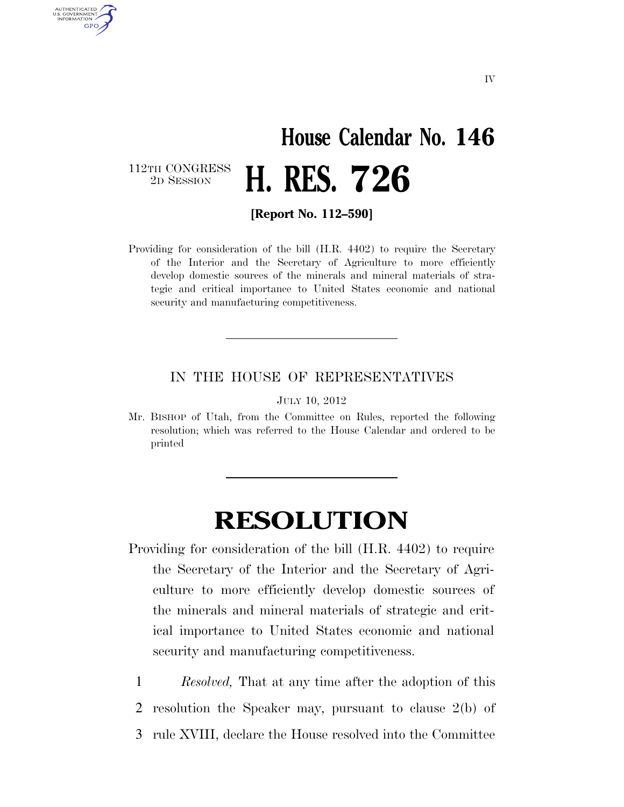## **House Calendar No. 146**  2D SESSION **H. RES. 726**

112TH CONGRESS<br>2D SESSION

AUTHENTICATED U.S. GOVERNMENT GPO

**[Report No. 112–590]** 

Providing for consideration of the bill (H.R. 4402) to require the Secretary of the Interior and the Secretary of Agriculture to more efficiently develop domestic sources of the minerals and mineral materials of strategic and critical importance to United States economic and national security and manufacturing competitiveness.

## IN THE HOUSE OF REPRESENTATIVES

JULY 10, 2012

Mr. BISHOP of Utah, from the Committee on Rules, reported the following resolution; which was referred to the House Calendar and ordered to be printed

## **RESOLUTION**

- Providing for consideration of the bill (H.R. 4402) to require the Secretary of the Interior and the Secretary of Agriculture to more efficiently develop domestic sources of the minerals and mineral materials of strategic and critical importance to United States economic and national security and manufacturing competitiveness.
	- 1 *Resolved,* That at any time after the adoption of this 2 resolution the Speaker may, pursuant to clause 2(b) of 3 rule XVIII, declare the House resolved into the Committee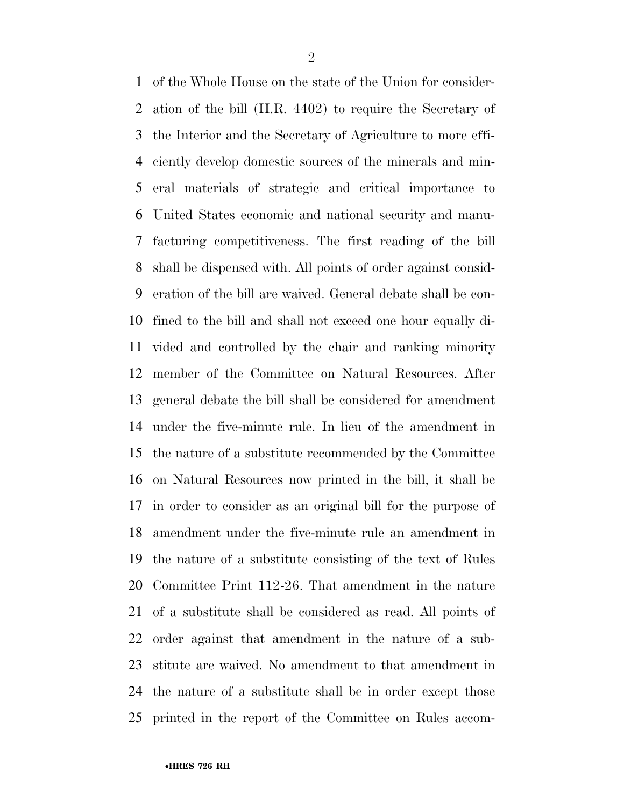of the Whole House on the state of the Union for consider- ation of the bill (H.R. 4402) to require the Secretary of the Interior and the Secretary of Agriculture to more effi- ciently develop domestic sources of the minerals and min- eral materials of strategic and critical importance to United States economic and national security and manu- facturing competitiveness. The first reading of the bill shall be dispensed with. All points of order against consid- eration of the bill are waived. General debate shall be con- fined to the bill and shall not exceed one hour equally di- vided and controlled by the chair and ranking minority member of the Committee on Natural Resources. After general debate the bill shall be considered for amendment under the five-minute rule. In lieu of the amendment in the nature of a substitute recommended by the Committee on Natural Resources now printed in the bill, it shall be in order to consider as an original bill for the purpose of amendment under the five-minute rule an amendment in the nature of a substitute consisting of the text of Rules Committee Print 112-26. That amendment in the nature of a substitute shall be considered as read. All points of order against that amendment in the nature of a sub- stitute are waived. No amendment to that amendment in the nature of a substitute shall be in order except those printed in the report of the Committee on Rules accom-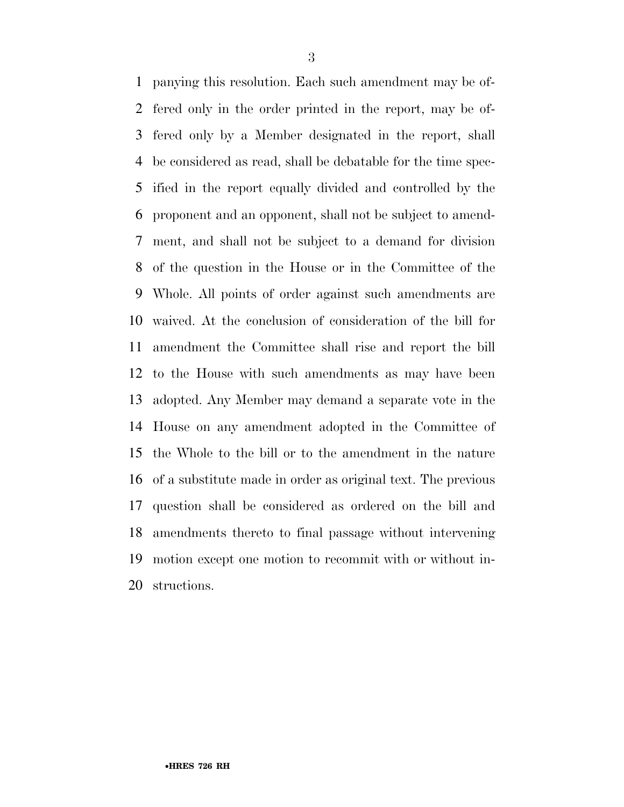panying this resolution. Each such amendment may be of- fered only in the order printed in the report, may be of- fered only by a Member designated in the report, shall be considered as read, shall be debatable for the time spec- ified in the report equally divided and controlled by the proponent and an opponent, shall not be subject to amend- ment, and shall not be subject to a demand for division of the question in the House or in the Committee of the Whole. All points of order against such amendments are waived. At the conclusion of consideration of the bill for amendment the Committee shall rise and report the bill to the House with such amendments as may have been adopted. Any Member may demand a separate vote in the House on any amendment adopted in the Committee of the Whole to the bill or to the amendment in the nature of a substitute made in order as original text. The previous question shall be considered as ordered on the bill and amendments thereto to final passage without intervening motion except one motion to recommit with or without in-structions.